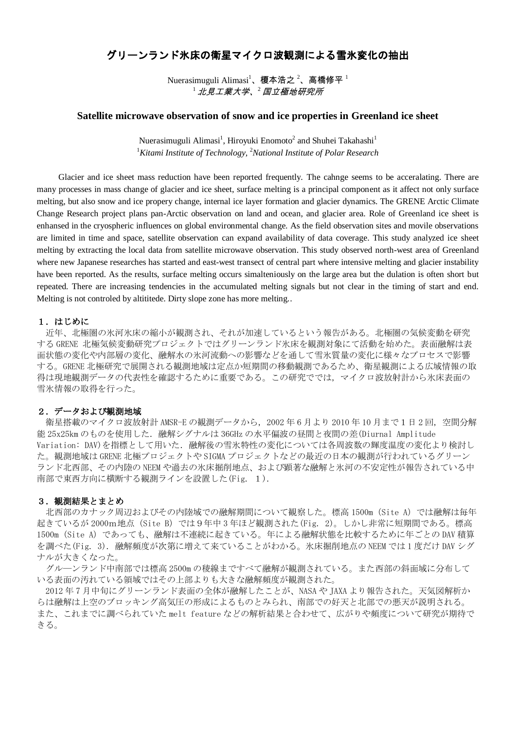# グリーンランド氷床の衛星マイクロ波観測による雪氷変化の抽出

Nuerasimuguli Alimasi<sup>1</sup>、榎本浩之<sup>2</sup>、高橋修平<sup>1</sup>  $^{-1}$ 北見工業大学、 $^{-2}$ 国立極地研究所

## **Satellite microwave observation of snow and ice properties in Greenland ice sheet**

Nuerasimuguli Alimasi<sup>1</sup>, Hiroyuki Enomoto<sup>2</sup> and Shuhei Takahashi<sup>1</sup> <sup>1</sup>*Kitami Institute of Technology,*  <sup>2</sup>*National Institute of Polar Research*

Glacier and ice sheet mass reduction have been reported frequently. The cahnge seems to be acceralating. There are many processes in mass change of glacier and ice sheet, surface melting is a principal component as it affect not only surface melting, but also snow and ice propery change, internal ice layer formation and glacier dynamics. The GRENE Arctic Climate Change Research project plans pan-Arctic observation on land and ocean, and glacier area. Role of Greenland ice sheet is enhansed in the cryospheric influences on global environmental change. As the field observation sites and movile observations are limited in time and space, satellite observation can expand availability of data coverage. This study analyzed ice sheet melting by extracting the local data from satellite microwave observation. This study observed north-west area of Greenland where new Japanese researches has started and east-west transect of central part where intensive melting and glacier instability have been reported. As the results, surface melting occurs simalteniously on the large area but the dulation is often short but repeated. There are increasing tendencies in the accumulated melting signals but not clear in the timing of start and end. Melting is not controled by altititede. Dirty slope zone has more melting..

## 1.はじめに

近年、北極圏の氷河氷床の縮小が観測され、それが加速しているという報告がある。北極圏の気候変動を研究 する GRENE 北極気候変動研究プロジェクトではグリーンランド氷床を観測対象にて活動を始めた。表面融解は表 面状態の変化や内部層の変化、融解水の氷河流動への影響などを通して雪氷質量の変化に様々なプロセスで影響 する。GRENE 北極研究で展開される観測地域は定点か短期間の移動観測であるため、衛星観測による広域情報の取 得は現地観測データの代表性を確認するために重要である。この研究ででは,マイクロ波放射計から氷床表面の 雪氷情報の取得を行った。

## 2.データおよび観測地域

衛星搭載のマイクロ波放射計 AMSR-E の観測データから, 2002 年 6 月より 2010 年 10 月まで1 日 2 回, 空間分解 能 25x25km のものを使用した. 融解シグナルは 36GHz の水平偏波の昼間と夜間の差(Diurnal Amplitude Variation: DAV)を指標として用いた. 融解後の雪氷特性の変化については各周波数の輝度温度の変化より検討し た。観測地域は GRENE 北極プロジェクトや SIGMA プロジェクトなどの最近の日本の観測が行われているグリーン ランド北西部、その内陸の NEEM や過去の氷床掘削地点、および顕著な融解と氷河の不安定性が報告されている中 南部で東西方向に横断する観測ラインを設置した(Fig. 1).

#### 3. 観測結果とまとめ

北西部のカナック周辺およびその内陸域での融解期間について観察した。標高 1500m(Site A)では融解は毎年 起きているが 2000m地点 (Site B) では9年中 3年ほど観測された(Fig. 2)。しかし非常に短期間である。標高 1500m(Site A)であっても、融解は不連続に起きている。年による融解状態を比較するために年ごとの DAV 積算 を調べた(Fig. 3). 融解頻度が次第に増えて来ていることがわかる。氷床掘削地点の NEEM では 1 度だけ DAV シグ ナルが大きくなった。

グル―ンランド中南部では標高 2500m の稜線まですべて融解が観測されている。また西部の斜面域に分布して いる表面の汚れている領域ではその上部よりも大きな融解頻度が観測された。

2012 年 7 月中旬にグリーンランド表面の全体が融解したことが、NASA や JAXA より報告された。天気図解析か らは融解は上空のブロッキング高気圧の形成によるものとみられ、南部での好天と北部での悪天が説明される。 また、これまでに調べられていた melt feature などの解析結果と合わせて、広がりや頻度について研究が期待で きる。